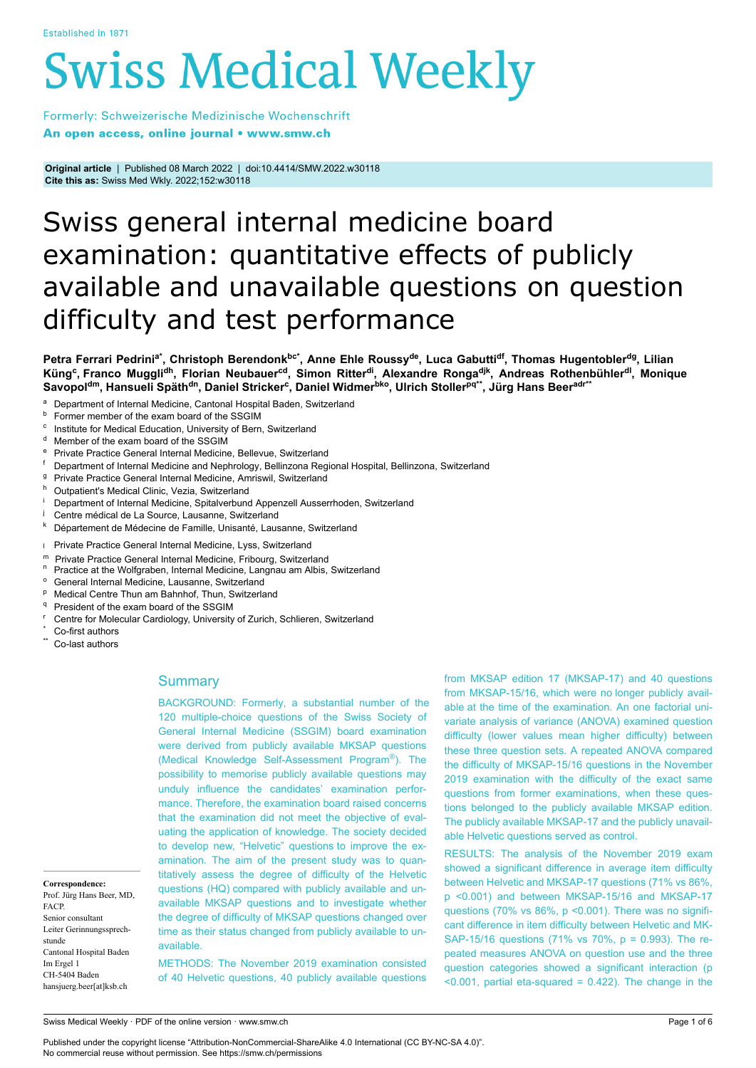# **Swiss Medical Weekly**

Formerly: Schweizerische Medizinische Wochenschrift An open access, online journal • www.smw.ch

**Original article** | Published 08 March 2022 | doi:10.4414/SMW.2022.w30118 **Cite this as:** Swiss Med Wkly. 2022;152:w30118

# Swiss general internal medicine board examination: quantitative effects of publicly available and unavailable questions on question difficulty and test performance

Petra Ferrari Pedrini<sup>a\*</sup>, Christoph Berendonk<sup>bc\*</sup>, Anne Ehle Roussy<sup>de</sup>, Luca Gabutti<sup>df</sup>, Thomas Hugentobler<sup>dg</sup>, Lilian Küng<sup>c</sup>, Franco Muggli<sup>dh</sup>, Florian Neubauer<sup>cd</sup>, Simon Ritter<sup>di</sup>, Alexandre Ronga<sup>djk</sup>, Andreas Rothenbühler<sup>di</sup>, Monique Savopol<sup>dm</sup>, Hansueli Späth<sup>dn</sup>, Daniel Stricker<sup>c</sup>, Daniel Widmer<sup>bko</sup>, Ulrich Stoller<sup>pq\*\*</sup>, Jürg Hans Beer<sup>adr\*\*</sup>

- <sup>a</sup> Department of Internal Medicine, Cantonal Hospital Baden, Switzerland<br>**b** Estmar member of the axam board of the SSGIM
- Former member of the exam board of the SSGIM
- c Institute for Medical Education, University of Bern, Switzerland
- Member of the exam board of the SSGIM
- e Private Practice General Internal Medicine, Bellevue, Switzerland<br>f. Department of Internal Medicine and Nephrology, Bellinzona Regi
- Department of Internal Medicine and Nephrology, Bellinzona Regional Hospital, Bellinzona, Switzerland
- <sup>g</sup> Private Practice General Internal Medicine, Amriswil, Switzerland
- Outpatient's Medical Clinic, Vezia, Switzerland
- Department of Internal Medicine, Spitalverbund Appenzell Ausserrhoden, Switzerland
- Centre médical de La Source, Lausanne, Switzerland
- <sup>k</sup> Département de Médecine de Famille, Unisanté, Lausanne, Switzerland
- l Private Practice General Internal Medicine, Lyss, Switzerland
- m Private Practice General Internal Medicine, Fribourg, Switzerland<br><sup>n</sup> Practice at the Welfgraben, Internal Medicine, Langnau am Albie
- Practice at the Wolfgraben, Internal Medicine, Langnau am Albis, Switzerland
- $^{\circ}\,$  General Internal Medicine, Lausanne, Switzerland
- <sup>p</sup> Medical Centre Thun am Bahnhof, Thun, Switzerland
- President of the exam board of the SSGIM
- <sup>r</sup> Centre for Molecular Cardiology, University of Zurich, Schlieren, Switzerland
- Co-first authors
- Co-last authors

**Correspondence:** Prof. Jürg Hans Beer, MD,

Cantonal Hospital Baden

FACP. Senior consultant Leiter Gerinnungssprech-

stunde

Im Ergel 1 CH-5404 Baden hansjuerg.beer[at]ksb.ch

# **Summary**

BACKGROUND: Formerly, a substantial number of the 120 multiple-choice questions of the Swiss Society of General Internal Medicine (SSGIM) board examination were derived from publicly available MKSAP questions (Medical Knowledge Self-Assessment Program® ). The possibility to memorise publicly available questions may unduly influence the candidates' examination performance. Therefore, the examination board raised concerns that the examination did not meet the objective of evaluating the application of knowledge. The society decided to develop new, "Helvetic" questions to improve the examination. The aim of the present study was to quantitatively assess the degree of difficulty of the Helvetic questions (HQ) compared with publicly available and unavailable MKSAP questions and to investigate whether the degree of difficulty of MKSAP questions changed over time as their status changed from publicly available to unavailable.

METHODS: The November 2019 examination consisted of 40 Helvetic questions, 40 publicly available questions from MKSAP edition 17 (MKSAP-17) and 40 questions from MKSAP-15/16, which were no longer publicly available at the time of the examination. An one factorial univariate analysis of variance (ANOVA) examined question difficulty (lower values mean higher difficulty) between these three question sets. A repeated ANOVA compared the difficulty of MKSAP-15/16 questions in the November 2019 examination with the difficulty of the exact same questions from former examinations, when these questions belonged to the publicly available MKSAP edition. The publicly available MKSAP-17 and the publicly unavailable Helvetic questions served as control.

RESULTS: The analysis of the November 2019 exam showed a significant difference in average item difficulty between Helvetic and MKSAP-17 questions (71% vs 86%, p <0.001) and between MKSAP-15/16 and MKSAP-17 questions (70% vs 86%, p <0.001). There was no significant difference in item difficulty between Helvetic and MK-SAP-15/16 questions (71% vs 70%, p = 0.993). The repeated measures ANOVA on question use and the three question categories showed a significant interaction (p  $\leq$  0.001, partial eta-squared = 0.422). The change in the

Swiss Medical Weekly · PDF of the online version · www.smw.ch

Published under the copyright license "Attribution-NonCommercial-ShareAlike 4.0 International (CC BY-NC-SA 4.0)". No commercial reuse without permission. See https://smw.ch/permissions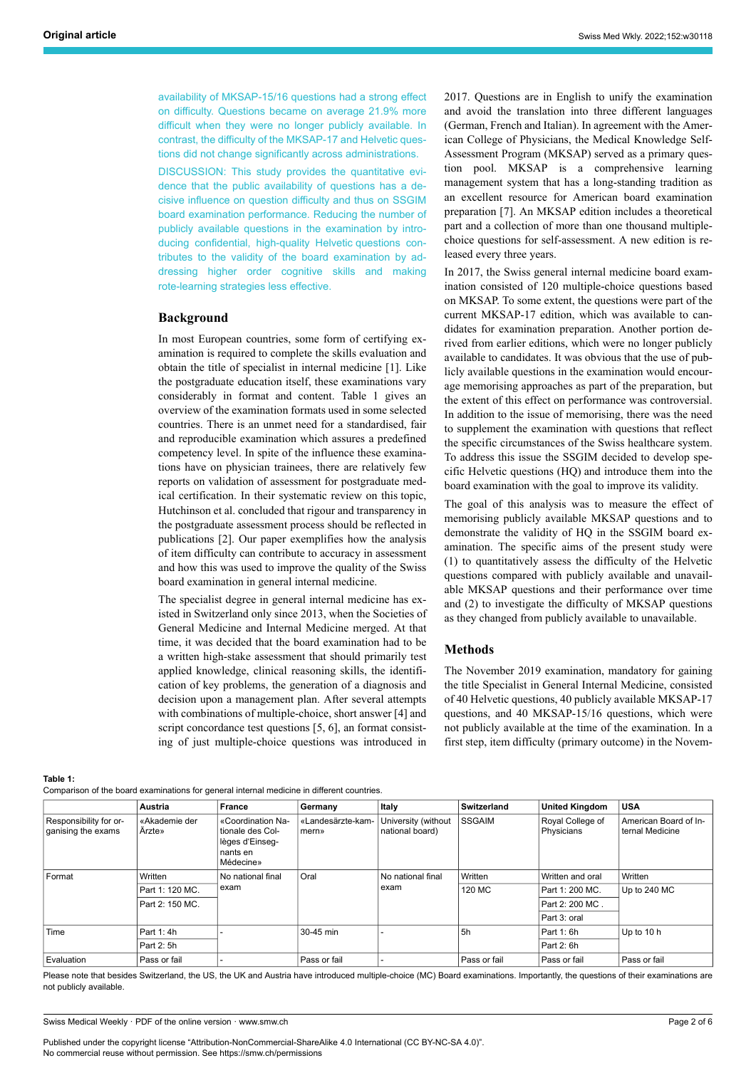availability of MKSAP-15/16 questions had a strong effect on difficulty. Questions became on average 21.9% more difficult when they were no longer publicly available. In contrast, the difficulty of the MKSAP-17 and Helvetic questions did not change significantly across administrations.

DISCUSSION: This study provides the quantitative evidence that the public availability of questions has a decisive influence on question difficulty and thus on SSGIM board examination performance. Reducing the number of publicly available questions in the examination by introducing confidential, high-quality Helvetic questions contributes to the validity of the board examination by addressing higher order cognitive skills and making rote-learning strategies less effective.

# **Background**

In most European countries, some form of certifying examination is required to complete the skills evaluation and obtain the title of specialist in internal medicine [1]. Like the postgraduate education itself, these examinations vary considerably in format and content. Table 1 gives an overview of the examination formats used in some selected countries. There is an unmet need for a standardised, fair and reproducible examination which assures a predefined competency level. In spite of the influence these examinations have on physician trainees, there are relatively few reports on validation of assessment for postgraduate medical certification. In their systematic review on this topic, Hutchinson et al. concluded that rigour and transparency in the postgraduate assessment process should be reflected in publications [2]. Our paper exemplifies how the analysis of item difficulty can contribute to accuracy in assessment and how this was used to improve the quality of the Swiss board examination in general internal medicine.

The specialist degree in general internal medicine has existed in Switzerland only since 2013, when the Societies of General Medicine and Internal Medicine merged. At that time, it was decided that the board examination had to be a written high-stake assessment that should primarily test applied knowledge, clinical reasoning skills, the identification of key problems, the generation of a diagnosis and decision upon a management plan. After several attempts with combinations of multiple-choice, short answer [4] and script concordance test questions [5, 6], an format consisting of just multiple-choice questions was introduced in 2017. Questions are in English to unify the examination and avoid the translation into three different languages (German, French and Italian). In agreement with the American College of Physicians, the Medical Knowledge Self-Assessment Program (MKSAP) served as a primary question pool. MKSAP is a comprehensive learning management system that has a long-standing tradition as an excellent resource for American board examination preparation [7]. An MKSAP edition includes a theoretical part and a collection of more than one thousand multiplechoice questions for self-assessment. A new edition is released every three years.

In 2017, the Swiss general internal medicine board examination consisted of 120 multiple-choice questions based on MKSAP. To some extent, the questions were part of the current MKSAP-17 edition, which was available to candidates for examination preparation. Another portion derived from earlier editions, which were no longer publicly available to candidates. It was obvious that the use of publicly available questions in the examination would encourage memorising approaches as part of the preparation, but the extent of this effect on performance was controversial. In addition to the issue of memorising, there was the need to supplement the examination with questions that reflect the specific circumstances of the Swiss healthcare system. To address this issue the SSGIM decided to develop specific Helvetic questions (HQ) and introduce them into the board examination with the goal to improve its validity.

The goal of this analysis was to measure the effect of memorising publicly available MKSAP questions and to demonstrate the validity of HQ in the SSGIM board examination. The specific aims of the present study were (1) to quantitatively assess the difficulty of the Helvetic questions compared with publicly available and unavailable MKSAP questions and their performance over time and (2) to investigate the difficulty of MKSAP questions as they changed from publicly available to unavailable.

#### **Methods**

The November 2019 examination, mandatory for gaining the title Specialist in General Internal Medicine, consisted of 40 Helvetic questions, 40 publicly available MKSAP-17 questions, and 40 MKSAP-15/16 questions, which were not publicly available at the time of the examination. In a first step, item difficulty (primary outcome) in the Novem-

**Table 1:**

Comparison of the board examinations for general internal medicine in different countries.

|                                              | Austria                 | <b>France</b>                                                                            | Germany                    | Italy                                  | Switzerland   | <b>United Kingdom</b>          | <b>USA</b>                               |
|----------------------------------------------|-------------------------|------------------------------------------------------------------------------------------|----------------------------|----------------------------------------|---------------|--------------------------------|------------------------------------------|
| Responsibility for or-<br>ganising the exams | «Akademie der<br>Arzte» | «Coordination Na-<br>tionale des Col-<br>lèges d'Einseg-<br>nants en<br><b>Médecine»</b> | «Landesärzte-kam-<br>mern» | University (without<br>national board) | <b>SSGAIM</b> | Royal College of<br>Physicians | American Board of In-<br>ternal Medicine |
| Format                                       | Written                 | No national final<br>exam                                                                | Oral                       | No national final<br>exam              | Written       | Written and oral               | Written                                  |
|                                              | Part 1: 120 MC.         |                                                                                          |                            |                                        | 120 MC        | Part 1: 200 MC.                | Up to 240 MC                             |
|                                              | Part 2: 150 MC.         |                                                                                          |                            |                                        |               | Part 2: 200 MC.                |                                          |
|                                              |                         |                                                                                          |                            |                                        |               | Part 3: oral                   |                                          |
| Time                                         | Part 1: 4h              |                                                                                          | 30-45 min                  |                                        | 5h            | Part 1: 6h                     | Up to 10 h                               |
|                                              | Part 2: 5h              |                                                                                          |                            |                                        |               | Part 2: 6h                     |                                          |
| Evaluation                                   | Pass or fail            |                                                                                          | Pass or fail               |                                        | Pass or fail  | Pass or fail                   | Pass or fail                             |

Please note that besides Switzerland, the US, the UK and Austria have introduced multiple-choice (MC) Board examinations. Importantly, the questions of their examinations are not publicly available.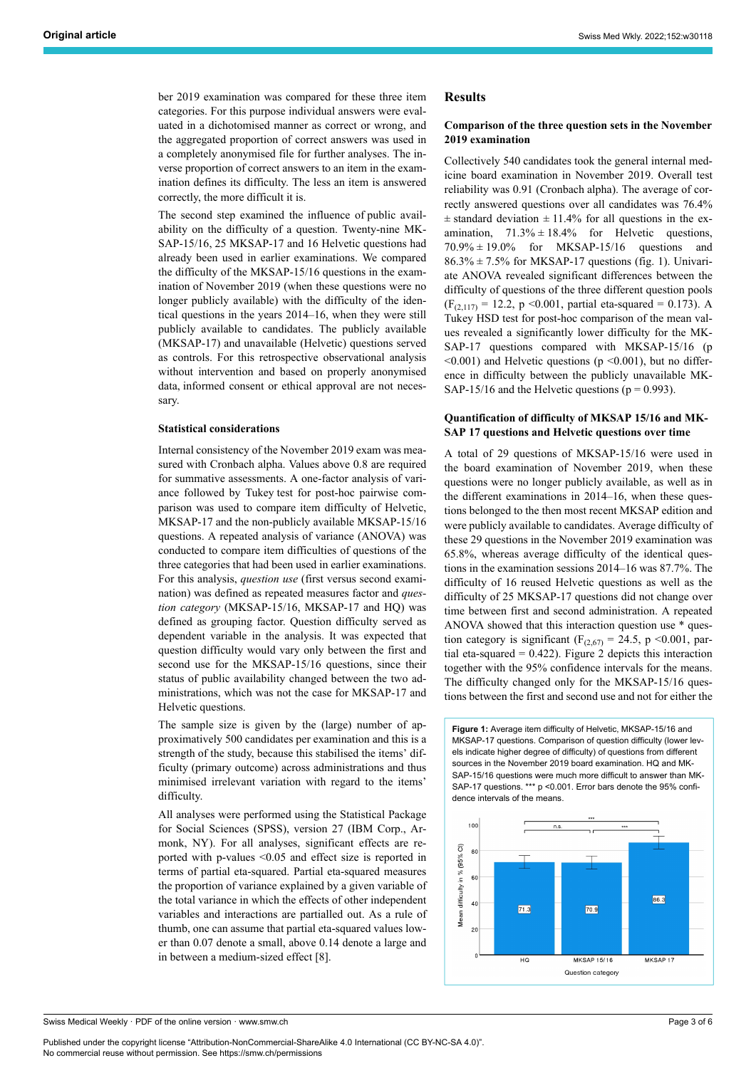ber 2019 examination was compared for these three item categories. For this purpose individual answers were evaluated in a dichotomised manner as correct or wrong, and the aggregated proportion of correct answers was used in a completely anonymised file for further analyses. The inverse proportion of correct answers to an item in the examination defines its difficulty. The less an item is answered correctly, the more difficult it is.

The second step examined the influence of public availability on the difficulty of a question. Twenty-nine MK-SAP-15/16, 25 MKSAP-17 and 16 Helvetic questions had already been used in earlier examinations. We compared the difficulty of the MKSAP-15/16 questions in the examination of November 2019 (when these questions were no longer publicly available) with the difficulty of the identical questions in the years 2014–16, when they were still publicly available to candidates. The publicly available (MKSAP-17) and unavailable (Helvetic) questions served as controls. For this retrospective observational analysis without intervention and based on properly anonymised data, informed consent or ethical approval are not necessary.

#### **Statistical considerations**

Internal consistency of the November 2019 exam was measured with Cronbach alpha. Values above 0.8 are required for summative assessments. A one-factor analysis of variance followed by Tukey test for post-hoc pairwise comparison was used to compare item difficulty of Helvetic, MKSAP-17 and the non-publicly available MKSAP-15/16 questions. A repeated analysis of variance (ANOVA) was conducted to compare item difficulties of questions of the three categories that had been used in earlier examinations. For this analysis, *question use* (first versus second examination) was defined as repeated measures factor and *question category* (MKSAP-15/16, MKSAP-17 and HQ) was defined as grouping factor. Question difficulty served as dependent variable in the analysis. It was expected that question difficulty would vary only between the first and second use for the MKSAP-15/16 questions, since their status of public availability changed between the two administrations, which was not the case for MKSAP-17 and Helvetic questions.

The sample size is given by the (large) number of approximatively 500 candidates per examination and this is a strength of the study, because this stabilised the items' difficulty (primary outcome) across administrations and thus minimised irrelevant variation with regard to the items' difficulty.

All analyses were performed using the Statistical Package for Social Sciences (SPSS), version 27 (IBM Corp., Armonk, NY). For all analyses, significant effects are reported with p-values <0.05 and effect size is reported in terms of partial eta-squared. Partial eta-squared measures the proportion of variance explained by a given variable of the total variance in which the effects of other independent variables and interactions are partialled out. As a rule of thumb, one can assume that partial eta-squared values lower than 0.07 denote a small, above 0.14 denote a large and in between a medium-sized effect [8].

## **Results**

## **Comparison of the three question sets in the November 2019 examination**

Collectively 540 candidates took the general internal medicine board examination in November 2019. Overall test reliability was 0.91 (Cronbach alpha). The average of correctly answered questions over all candidates was 76.4%  $\pm$  standard deviation  $\pm$  11.4% for all questions in the examination,  $71.3\% \pm 18.4\%$  for Helvetic questions, 70.9% ± 19.0% for MKSAP-15/16 questions and  $86.3\% \pm 7.5\%$  for MKSAP-17 questions (fig. 1). Univariate ANOVA revealed significant differences between the difficulty of questions of the three different question pools  $(F<sub>(2,117)</sub> = 12.2, p < 0.001, partial eta-squared = 0.173).$  A Tukey HSD test for post-hoc comparison of the mean values revealed a significantly lower difficulty for the MK-SAP-17 questions compared with MKSAP-15/16 (p  $\leq 0.001$ ) and Helvetic questions (p $\leq 0.001$ ), but no difference in difficulty between the publicly unavailable MK-SAP-15/16 and the Helvetic questions ( $p = 0.993$ ).

#### **Quantification of difficulty of MKSAP 15/16 and MK-SAP 17 questions and Helvetic questions over time**

A total of 29 questions of MKSAP-15/16 were used in the board examination of November 2019, when these questions were no longer publicly available, as well as in the different examinations in 2014–16, when these questions belonged to the then most recent MKSAP edition and were publicly available to candidates. Average difficulty of these 29 questions in the November 2019 examination was 65.8%, whereas average difficulty of the identical questions in the examination sessions 2014–16 was 87.7%. The difficulty of 16 reused Helvetic questions as well as the difficulty of 25 MKSAP-17 questions did not change over time between first and second administration. A repeated ANOVA showed that this interaction question use \* question category is significant ( $F_{(2,67)} = 24.5$ , p <0.001, partial eta-squared  $= 0.422$ ). Figure 2 depicts this interaction together with the 95% confidence intervals for the means. The difficulty changed only for the MKSAP-15/16 questions between the first and second use and not for either the

**Figure 1:** Average item difficulty of Helvetic, MKSAP-15/16 and MKSAP-17 questions. Comparison of question difficulty (lower levels indicate higher degree of difficulty) of questions from different sources in the November 2019 board examination. HQ and MK-SAP-15/16 questions were much more difficult to answer than MK-SAP-17 questions. \*\*\* p <0.001. Error bars denote the 95% confidence intervals of the means.



Published under the copyright license "Attribution-NonCommercial-ShareAlike 4.0 International (CC BY-NC-SA 4.0)". No commercial reuse without permission. See https://smw.ch/permissions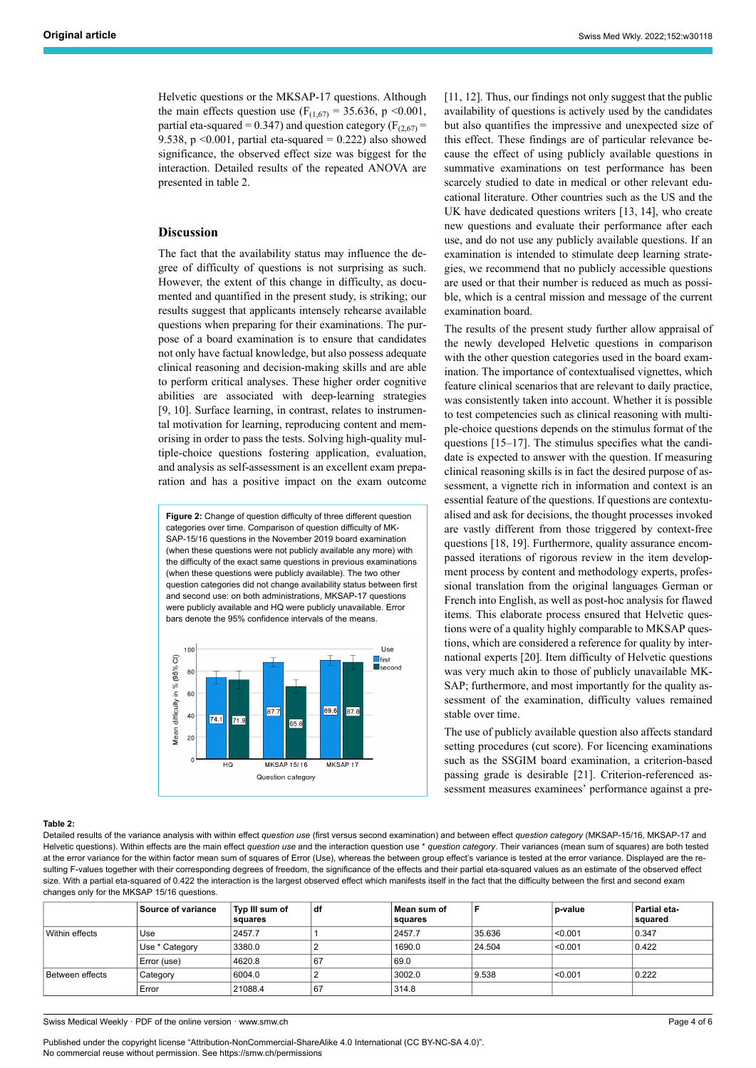Helvetic questions or the MKSAP-17 questions. Although the main effects question use ( $F_{(1,67)} = 35.636$ , p <0.001, partial eta-squared = 0.347) and question category ( $F_{(2,67)}$  = 9.538, p < 0.001, partial eta-squared =  $0.222$ ) also showed significance, the observed effect size was biggest for the interaction. Detailed results of the repeated ANOVA are presented in table 2.

# **Discussion**

The fact that the availability status may influence the degree of difficulty of questions is not surprising as such. However, the extent of this change in difficulty, as documented and quantified in the present study, is striking; our results suggest that applicants intensely rehearse available questions when preparing for their examinations. The purpose of a board examination is to ensure that candidates not only have factual knowledge, but also possess adequate clinical reasoning and decision-making skills and are able to perform critical analyses. These higher order cognitive abilities are associated with deep-learning strategies [9, 10]. Surface learning, in contrast, relates to instrumental motivation for learning, reproducing content and memorising in order to pass the tests. Solving high-quality multiple-choice questions fostering application, evaluation, and analysis as self-assessment is an excellent exam preparation and has a positive impact on the exam outcome

**Figure 2:** Change of question difficulty of three different question categories over time. Comparison of question difficulty of MK-SAP-15/16 questions in the November 2019 board examination (when these questions were not publicly available any more) with the difficulty of the exact same questions in previous examinations (when these questions were publicly available). The two other question categories did not change availability status between first and second use: on both administrations, MKSAP-17 questions were publicly available and HQ were publicly unavailable. Error bars denote the 95% confidence intervals of the means.



[11, 12]. Thus, our findings not only suggest that the public availability of questions is actively used by the candidates but also quantifies the impressive and unexpected size of this effect. These findings are of particular relevance because the effect of using publicly available questions in summative examinations on test performance has been scarcely studied to date in medical or other relevant educational literature. Other countries such as the US and the UK have dedicated questions writers [13, 14], who create new questions and evaluate their performance after each use, and do not use any publicly available questions. If an examination is intended to stimulate deep learning strategies, we recommend that no publicly accessible questions are used or that their number is reduced as much as possible, which is a central mission and message of the current examination board.

The results of the present study further allow appraisal of the newly developed Helvetic questions in comparison with the other question categories used in the board examination. The importance of contextualised vignettes, which feature clinical scenarios that are relevant to daily practice, was consistently taken into account. Whether it is possible to test competencies such as clinical reasoning with multiple-choice questions depends on the stimulus format of the questions [15–17]. The stimulus specifies what the candidate is expected to answer with the question. If measuring clinical reasoning skills is in fact the desired purpose of assessment, a vignette rich in information and context is an essential feature of the questions. If questions are contextualised and ask for decisions, the thought processes invoked are vastly different from those triggered by context-free questions [18, 19]. Furthermore, quality assurance encompassed iterations of rigorous review in the item development process by content and methodology experts, professional translation from the original languages German or French into English, as well as post-hoc analysis for flawed items. This elaborate process ensured that Helvetic questions were of a quality highly comparable to MKSAP questions, which are considered a reference for quality by international experts [20]. Item difficulty of Helvetic questions was very much akin to those of publicly unavailable MK-SAP; furthermore, and most importantly for the quality assessment of the examination, difficulty values remained stable over time.

The use of publicly available question also affects standard setting procedures (cut score). For licencing examinations such as the SSGIM board examination, a criterion-based passing grade is desirable [21]. Criterion-referenced assessment measures examinees' performance against a pre-

#### **Table 2:**

Detailed results of the variance analysis with within effect *question use* (first versus second examination) and between effect *question category* (MKSAP-15/16, MKSAP-17 and Helvetic questions). Within effects are the main effect *question use* and the interaction question use \* *question category*. Their variances (mean sum of squares) are both tested at the error variance for the within factor mean sum of squares of Error (Use), whereas the between group effect's variance is tested at the error variance. Displayed are the resulting F-values together with their corresponding degrees of freedom, the significance of the effects and their partial eta-squared values as an estimate of the observed effect size. With a partial eta-squared of 0.422 the interaction is the largest observed effect which manifests itself in the fact that the difficulty between the first and second exam changes only for the MKSAP 15/16 questions.

|                 | <b>Source of variance</b> | Typ III sum of<br>squares | df | Mean sum of<br>squares |        | b-value    | Partial eta-<br>squared |
|-----------------|---------------------------|---------------------------|----|------------------------|--------|------------|-------------------------|
| Within effects  | Use                       | 2457.7                    |    | 2457.7                 | 35.636 | $ $ <0.001 | 0.347                   |
|                 | Use * Category            | 3380.0                    |    | 1690.0                 | 24.504 | $ $ <0.001 | 0.422                   |
|                 | Error (use)               | 4620.8                    | 67 | 69.0                   |        |            |                         |
| Between effects | Category                  | 6004.0                    |    | 3002.0                 | 9.538  | < 0.001    | 0.222                   |
|                 | Error                     | 21088.4                   | 67 | 314.8                  |        |            |                         |

Swiss Medical Weekly · PDF of the online version · www.smw.ch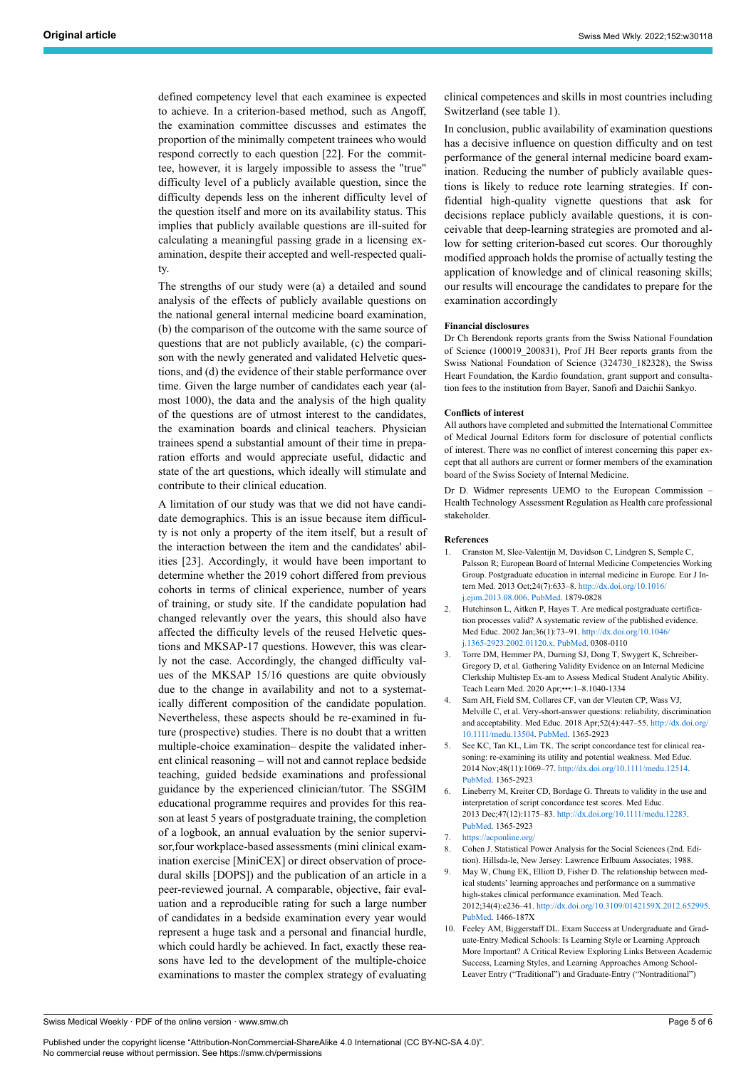defined competency level that each examinee is expected to achieve. In a criterion-based method, such as Angoff, the examination committee discusses and estimates the proportion of the minimally competent trainees who would respond correctly to each question [22]. For the committee, however, it is largely impossible to assess the "true" difficulty level of a publicly available question, since the difficulty depends less on the inherent difficulty level of the question itself and more on its availability status. This implies that publicly available questions are ill-suited for calculating a meaningful passing grade in a licensing examination, despite their accepted and well-respected quality.

The strengths of our study were (a) a detailed and sound analysis of the effects of publicly available questions on the national general internal medicine board examination, (b) the comparison of the outcome with the same source of questions that are not publicly available, (c) the comparison with the newly generated and validated Helvetic questions, and (d) the evidence of their stable performance over time. Given the large number of candidates each year (almost 1000), the data and the analysis of the high quality of the questions are of utmost interest to the candidates, the examination boards and clinical teachers. Physician trainees spend a substantial amount of their time in preparation efforts and would appreciate useful, didactic and state of the art questions, which ideally will stimulate and contribute to their clinical education.

A limitation of our study was that we did not have candidate demographics. This is an issue because item difficulty is not only a property of the item itself, but a result of the interaction between the item and the candidates' abilities [23]. Accordingly, it would have been important to determine whether the 2019 cohort differed from previous cohorts in terms of clinical experience, number of years of training, or study site. If the candidate population had changed relevantly over the years, this should also have affected the difficulty levels of the reused Helvetic questions and MKSAP-17 questions. However, this was clearly not the case. Accordingly, the changed difficulty values of the MKSAP 15/16 questions are quite obviously due to the change in availability and not to a systematically different composition of the candidate population. Nevertheless, these aspects should be re-examined in future (prospective) studies. There is no doubt that a written multiple-choice examination– despite the validated inherent clinical reasoning – will not and cannot replace bedside teaching, guided bedside examinations and professional guidance by the experienced clinician/tutor. The SSGIM educational programme requires and provides for this reason at least 5 years of postgraduate training, the completion of a logbook, an annual evaluation by the senior supervisor,four workplace-based assessments (mini clinical examination exercise [MiniCEX] or direct observation of procedural skills [DOPS]) and the publication of an article in a peer-reviewed journal. A comparable, objective, fair evaluation and a reproducible rating for such a large number of candidates in a bedside examination every year would represent a huge task and a personal and financial hurdle, which could hardly be achieved. In fact, exactly these reasons have led to the development of the multiple-choice examinations to master the complex strategy of evaluating clinical competences and skills in most countries including Switzerland (see table 1).

In conclusion, public availability of examination questions has a decisive influence on question difficulty and on test performance of the general internal medicine board examination. Reducing the number of publicly available questions is likely to reduce rote learning strategies. If confidential high-quality vignette questions that ask for decisions replace publicly available questions, it is conceivable that deep-learning strategies are promoted and allow for setting criterion-based cut scores. Our thoroughly modified approach holds the promise of actually testing the application of knowledge and of clinical reasoning skills; our results will encourage the candidates to prepare for the examination accordingly

#### **Financial disclosures**

Dr Ch Berendonk reports grants from the Swiss National Foundation of Science (100019\_200831), Prof JH Beer reports grants from the Swiss National Foundation of Science (324730\_182328), the Swiss Heart Foundation, the Kardio foundation, grant support and consultation fees to the institution from Bayer, Sanofi and Daichii Sankyo.

#### **Conflicts of interest**

All authors have completed and submitted the International Committee of Medical Journal Editors form for disclosure of potential conflicts of interest. There was no conflict of interest concerning this paper except that all authors are current or former members of the examination board of the Swiss Society of Internal Medicine.

Dr D. Widmer represents UEMO to the European Commission – Health Technology Assessment Regulation as Health care professional stakeholder.

#### **References**

- 1. Cranston M, Slee-Valentijn M, Davidson C, Lindgren S, Semple C, Palsson R; European Board of Internal Medicine Competencies Working Group. Postgraduate education in internal medicine in Europe. Eur J Intern Med. 2013 Oct;24(7):633–8. [http://dx.doi.org/10.1016/](http://dx.doi.org/10.1016/j.ejim.2013.08.006) [j.ejim.2013.08.006](http://dx.doi.org/10.1016/j.ejim.2013.08.006). [PubMed.](http://www.ncbi.nlm.nih.gov/entrez/query.fcgi?cmd=Retrieve&db=PubMed&list_uids=24028928&dopt=Abstract) 1879-0828
- Hutchinson L, Aitken P, Hayes T. Are medical postgraduate certification processes valid? A systematic review of the published evidence. Med Educ. 2002 Jan;36(1):73–91. [http://dx.doi.org/10.1046/](http://dx.doi.org/10.1046/j.1365-2923.2002.01120.x) [j.1365-2923.2002.01120.x.](http://dx.doi.org/10.1046/j.1365-2923.2002.01120.x) [PubMed.](http://www.ncbi.nlm.nih.gov/entrez/query.fcgi?cmd=Retrieve&db=PubMed&list_uids=11849527&dopt=Abstract) 0308-0110
- 3. Torre DM, Hemmer PA, Durning SJ, Dong T, Swygert K, Schreiber-Gregory D, et al. Gathering Validity Evidence on an Internal Medicine Clerkship Multistep Ex-am to Assess Medical Student Analytic Ability. Teach Learn Med. 2020 Apr;•••:1–8.1040-1334
- 4. Sam AH, Field SM, Collares CF, van der Vleuten CP, Wass VJ, Melville C, et al. Very-short-answer questions: reliability, discrimination and acceptability. Med Educ. 2018 Apr;52(4):447–55. [http://dx.doi.org/](http://dx.doi.org/10.1111/medu.13504) [10.1111/medu.13504.](http://dx.doi.org/10.1111/medu.13504) [PubMed](http://www.ncbi.nlm.nih.gov/entrez/query.fcgi?cmd=Retrieve&db=PubMed&list_uids=29388317&dopt=Abstract). 1365-2923
- 5. See KC, Tan KL, Lim TK. The script concordance test for clinical reasoning: re-examining its utility and potential weakness. Med Educ. 2014 Nov;48(11):1069–77. [http://dx.doi.org/10.1111/medu.12514.](http://dx.doi.org/10.1111/medu.12514) [PubMed](http://www.ncbi.nlm.nih.gov/entrez/query.fcgi?cmd=Retrieve&db=PubMed&list_uids=25307634&dopt=Abstract). 1365-2923
- 6. Lineberry M, Kreiter CD, Bordage G. Threats to validity in the use and interpretation of script concordance test scores. Med Educ. 2013 Dec;47(12):1175–83. <http://dx.doi.org/10.1111/medu.12283>. [PubMed](http://www.ncbi.nlm.nih.gov/entrez/query.fcgi?cmd=Retrieve&db=PubMed&list_uids=24206151&dopt=Abstract). 1365-2923
- 7. <https://acponline.org/>
- 8. Cohen J. Statistical Power Analysis for the Social Sciences (2nd. Edition). Hillsda-le, New Jersey: Lawrence Erlbaum Associates; 1988.
- 9. May W, Chung EK, Elliott D, Fisher D. The relationship between medical students' learning approaches and performance on a summative high-stakes clinical performance examination. Med Teach. 2012;34(4):e236–41. [http://dx.doi.org/10.3109/0142159X.2012.652995.](http://dx.doi.org/10.3109/0142159X.2012.652995) [PubMed](http://www.ncbi.nlm.nih.gov/entrez/query.fcgi?cmd=Retrieve&db=PubMed&list_uids=22455715&dopt=Abstract). 1466-187X
- 10. Feeley AM, Biggerstaff DL. Exam Success at Undergraduate and Graduate-Entry Medical Schools: Is Learning Style or Learning Approach More Important? A Critical Review Exploring Links Between Academic Success, Learning Styles, and Learning Approaches Among School-Leaver Entry ("Traditional") and Graduate-Entry ("Nontraditional")

Swiss Medical Weekly · PDF of the online version · www.smw.ch